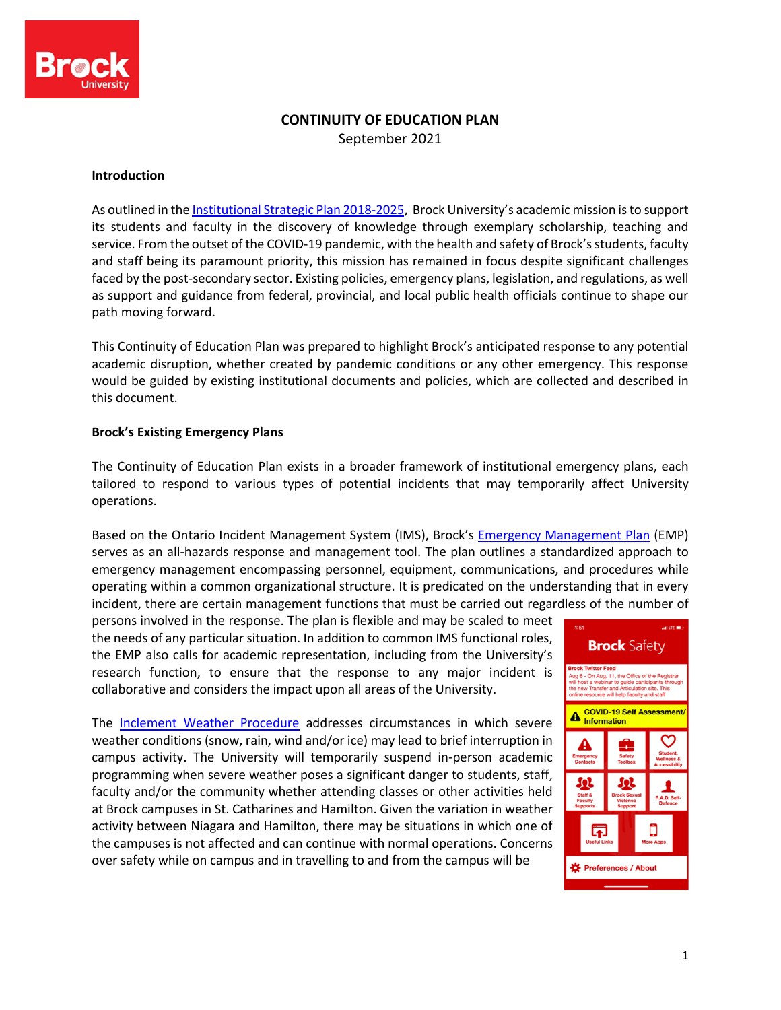

# **CONTINUITY OF EDUCATION PLAN**

September 2021

#### **Introduction**

As outlined in the Institutional Strategic Plan 2018-2025, Brock University's academic mission is to support its students and faculty in the discovery of knowledge through exemplary scholarship, teaching and service. From the outset of the COVID-19 pandemic, with the health and safety of Brock's students, faculty and staff being its paramount priority, this mission has remained in focus despite significant challenges faced by the post-secondary sector. Existing policies, emergency plans, legislation, and regulations, as well as support and guidance from federal, provincial, and local public health officials continue to shape our path moving forward.

This Continuity of Education Plan was prepared to highlight Brock's anticipated response to any potential academic disruption, whether created by pandemic conditions or any other emergency. This response would be guided by existing institutional documents and policies, which are collected and described in this document.

### **Brock's Existing Emergency Plans**

The Continuity of Education Plan exists in a broader framework of institutional emergency plans, each tailored to respond to various types of potential incidents that may temporarily affect University operations.

Based on the Ontario Incident Management System (IMS), Brock's Emergency Management Plan (EMP) serves as an all-hazards response and management tool. The plan outlines a standardized approach to emergency management encompassing personnel, equipment, communications, and procedures while operating within a common organizational structure. It is predicated on the understanding that in every incident, there are certain management functions that must be carried out regardless of the number of

persons involved in the response. The plan is flexible and may be scaled to meet the needs of any particular situation. In addition to common IMS functional roles, the EMP also calls for academic representation, including from the University's research function, to ensure that the response to any major incident is collaborative and considers the impact upon all areas of the University.

The Inclement Weather Procedure addresses circumstances in which severe weather conditions (snow, rain, wind and/or ice) may lead to brief interruption in campus activity. The University will temporarily suspend in-person academic programming when severe weather poses a significant danger to students, staff, faculty and/or the community whether attending classes or other activities held at Brock campuses in St. Catharines and Hamilton. Given the variation in weather activity between Niagara and Hamilton, there may be situations in which one of the campuses is not affected and can continue with normal operations. Concerns over safety while on campus and in travelling to and from the campus will be

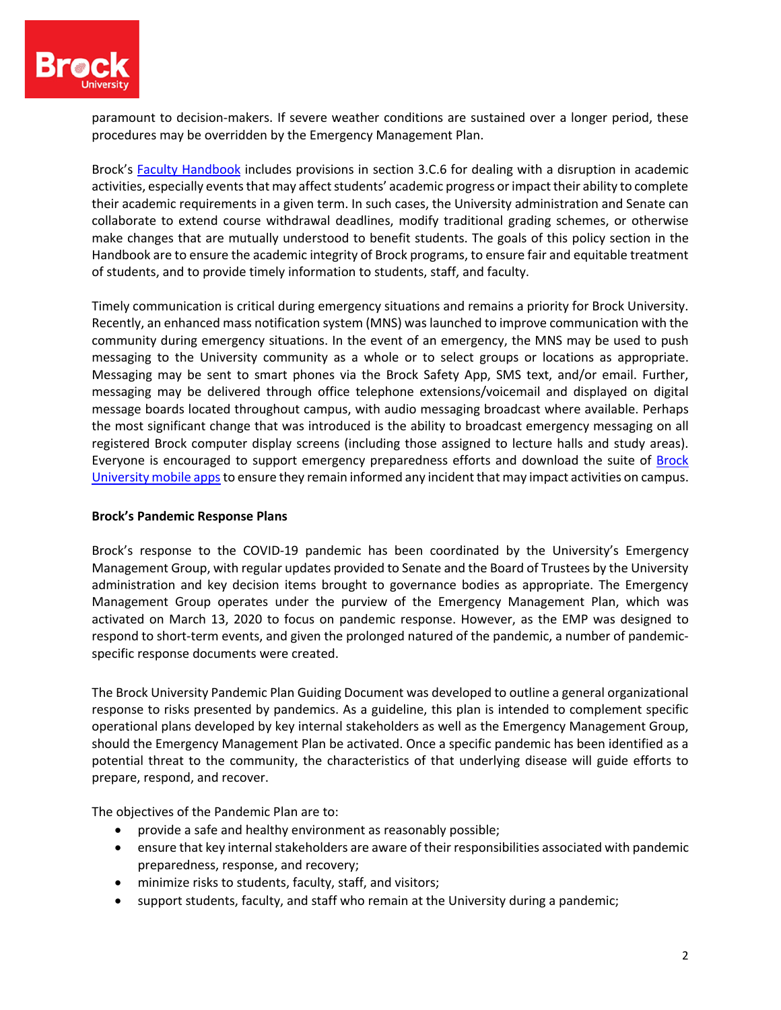

paramount to decision-makers. If severe weather conditions are sustained over a longer period, these procedures may be overridden by the Emergency Management Plan.

Brock's Faculty Handbook includes provisions in section 3.C.6 for dealing with a disruption in academic activities, especially events that may affect students' academic progress or impact their ability to complete their academic requirements in a given term. In such cases, the University administration and Senate can collaborate to extend course withdrawal deadlines, modify traditional grading schemes, or otherwise make changes that are mutually understood to benefit students. The goals of this policy section in the Handbook are to ensure the academic integrity of Brock programs, to ensure fair and equitable treatment of students, and to provide timely information to students, staff, and faculty.

Timely communication is critical during emergency situations and remains a priority for Brock University. Recently, an enhanced mass notification system (MNS) was launched to improve communication with the community during emergency situations. In the event of an emergency, the MNS may be used to push messaging to the University community as a whole or to select groups or locations as appropriate. Messaging may be sent to smart phones via the Brock Safety App, SMS text, and/or email. Further, messaging may be delivered through office telephone extensions/voicemail and displayed on digital message boards located throughout campus, with audio messaging broadcast where available. Perhaps the most significant change that was introduced is the ability to broadcast emergency messaging on all registered Brock computer display screens (including those assigned to lecture halls and study areas). Everyone is encouraged to support emergency preparedness efforts and download the suite of Brock University mobile apps to ensure they remain informed any incident that may impact activities on campus.

### **Brock's Pandemic Response Plans**

Brock's response to the COVID-19 pandemic has been coordinated by the University's Emergency Management Group, with regular updates provided to Senate and the Board of Trustees by the University administration and key decision items brought to governance bodies as appropriate. The Emergency Management Group operates under the purview of the Emergency Management Plan, which was activated on March 13, 2020 to focus on pandemic response. However, as the EMP was designed to respond to short-term events, and given the prolonged natured of the pandemic, a number of pandemicspecific response documents were created.

The Brock University Pandemic Plan Guiding Document was developed to outline a general organizational response to risks presented by pandemics. As a guideline, this plan is intended to complement specific operational plans developed by key internal stakeholders as well as the Emergency Management Group, should the Emergency Management Plan be activated. Once a specific pandemic has been identified as a potential threat to the community, the characteristics of that underlying disease will guide efforts to prepare, respond, and recover.

The objectives of the Pandemic Plan are to:

- provide a safe and healthy environment as reasonably possible;
- ensure that key internal stakeholders are aware of their responsibilities associated with pandemic preparedness, response, and recovery;
- minimize risks to students, faculty, staff, and visitors;
- support students, faculty, and staff who remain at the University during a pandemic;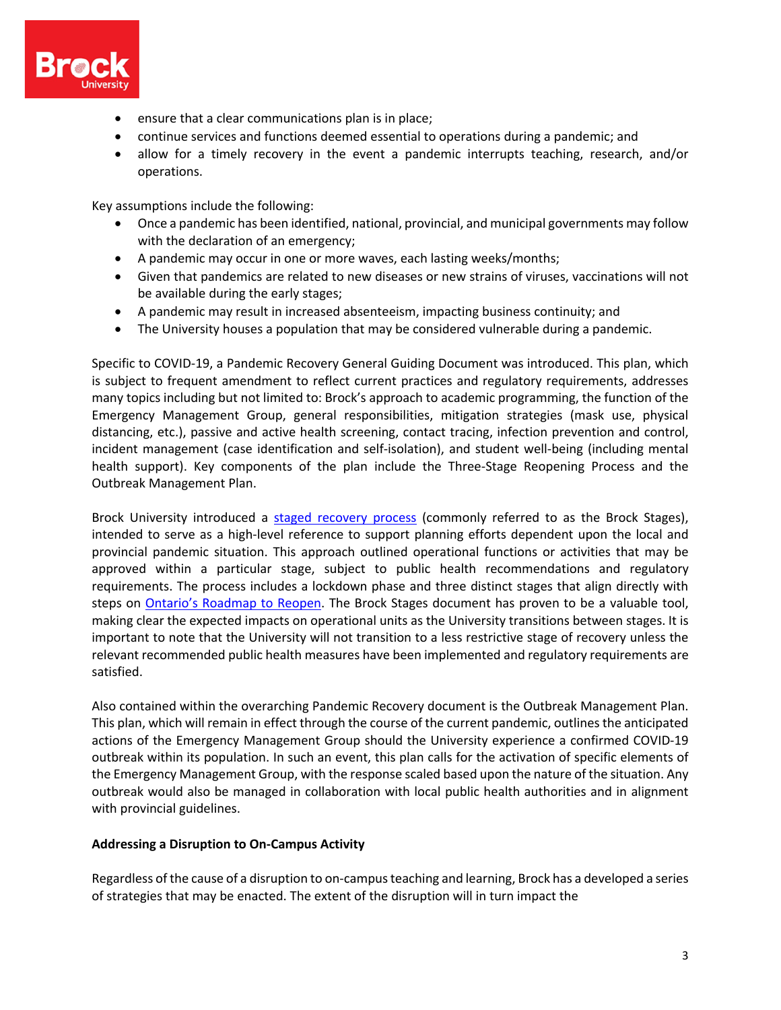

- ensure that a clear communications plan is in place;
- continue services and functions deemed essential to operations during a pandemic; and
- allow for a timely recovery in the event a pandemic interrupts teaching, research, and/or operations.

Key assumptions include the following:

- Once a pandemic has been identified, national, provincial, and municipal governments may follow with the declaration of an emergency;
- A pandemic may occur in one or more waves, each lasting weeks/months;
- Given that pandemics are related to new diseases or new strains of viruses, vaccinations will not be available during the early stages;
- A pandemic may result in increased absenteeism, impacting business continuity; and
- The University houses a population that may be considered vulnerable during a pandemic.

Specific to COVID-19, a Pandemic Recovery General Guiding Document was introduced. This plan, which is subject to frequent amendment to reflect current practices and regulatory requirements, addresses many topics including but not limited to: Brock's approach to academic programming, the function of the Emergency Management Group, general responsibilities, mitigation strategies (mask use, physical distancing, etc.), passive and active health screening, contact tracing, infection prevention and control, incident management (case identification and self-isolation), and student well-being (including mental health support). Key components of the plan include the Three-Stage Reopening Process and the Outbreak Management Plan.

Brock University introduced a staged recovery process (commonly referred to as the Brock Stages), intended to serve as a high-level reference to support planning efforts dependent upon the local and provincial pandemic situation. This approach outlined operational functions or activities that may be approved within a particular stage, subject to public health recommendations and regulatory requirements. The process includes a lockdown phase and three distinct stages that align directly with steps on **Ontario's Roadmap to Reopen**. The Brock Stages document has proven to be a valuable tool, making clear the expected impacts on operational units as the University transitions between stages. It is important to note that the University will not transition to a less restrictive stage of recovery unless the relevant recommended public health measures have been implemented and regulatory requirements are satisfied.

Also contained within the overarching Pandemic Recovery document is the Outbreak Management Plan. This plan, which will remain in effect through the course of the current pandemic, outlines the anticipated actions of the Emergency Management Group should the University experience a confirmed COVID-19 outbreak within its population. In such an event, this plan calls for the activation of specific elements of the Emergency Management Group, with the response scaled based upon the nature of the situation. Any outbreak would also be managed in collaboration with local public health authorities and in alignment with provincial guidelines.

### **Addressing a Disruption to On-Campus Activity**

Regardless of the cause of a disruption to on-campus teaching and learning, Brock has a developed a series of strategies that may be enacted. The extent of the disruption will in turn impact the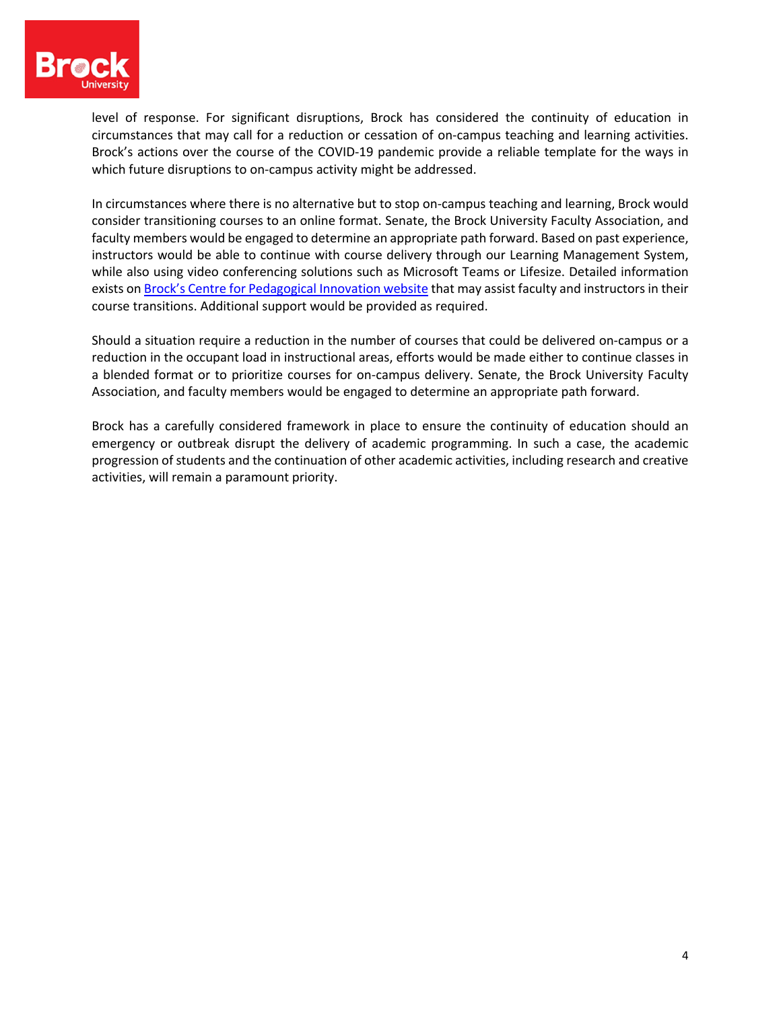

level of response. For significant disruptions, Brock has considered the continuity of education in circumstances that may call for a reduction or cessation of on-campus teaching and learning activities. Brock's actions over the course of the COVID-19 pandemic provide a reliable template for the ways in which future disruptions to on-campus activity might be addressed.

In circumstances where there is no alternative but to stop on-campus teaching and learning, Brock would consider transitioning courses to an online format. Senate, the Brock University Faculty Association, and faculty members would be engaged to determine an appropriate path forward. Based on past experience, instructors would be able to continue with course delivery through our Learning Management System, while also using video conferencing solutions such as Microsoft Teams or Lifesize. Detailed information exists on Brock's Centre for Pedagogical Innovation website that may assist faculty and instructors in their course transitions. Additional support would be provided as required.

Should a situation require a reduction in the number of courses that could be delivered on-campus or a reduction in the occupant load in instructional areas, efforts would be made either to continue classes in a blended format or to prioritize courses for on-campus delivery. Senate, the Brock University Faculty Association, and faculty members would be engaged to determine an appropriate path forward.

Brock has a carefully considered framework in place to ensure the continuity of education should an emergency or outbreak disrupt the delivery of academic programming. In such a case, the academic progression of students and the continuation of other academic activities, including research and creative activities, will remain a paramount priority.